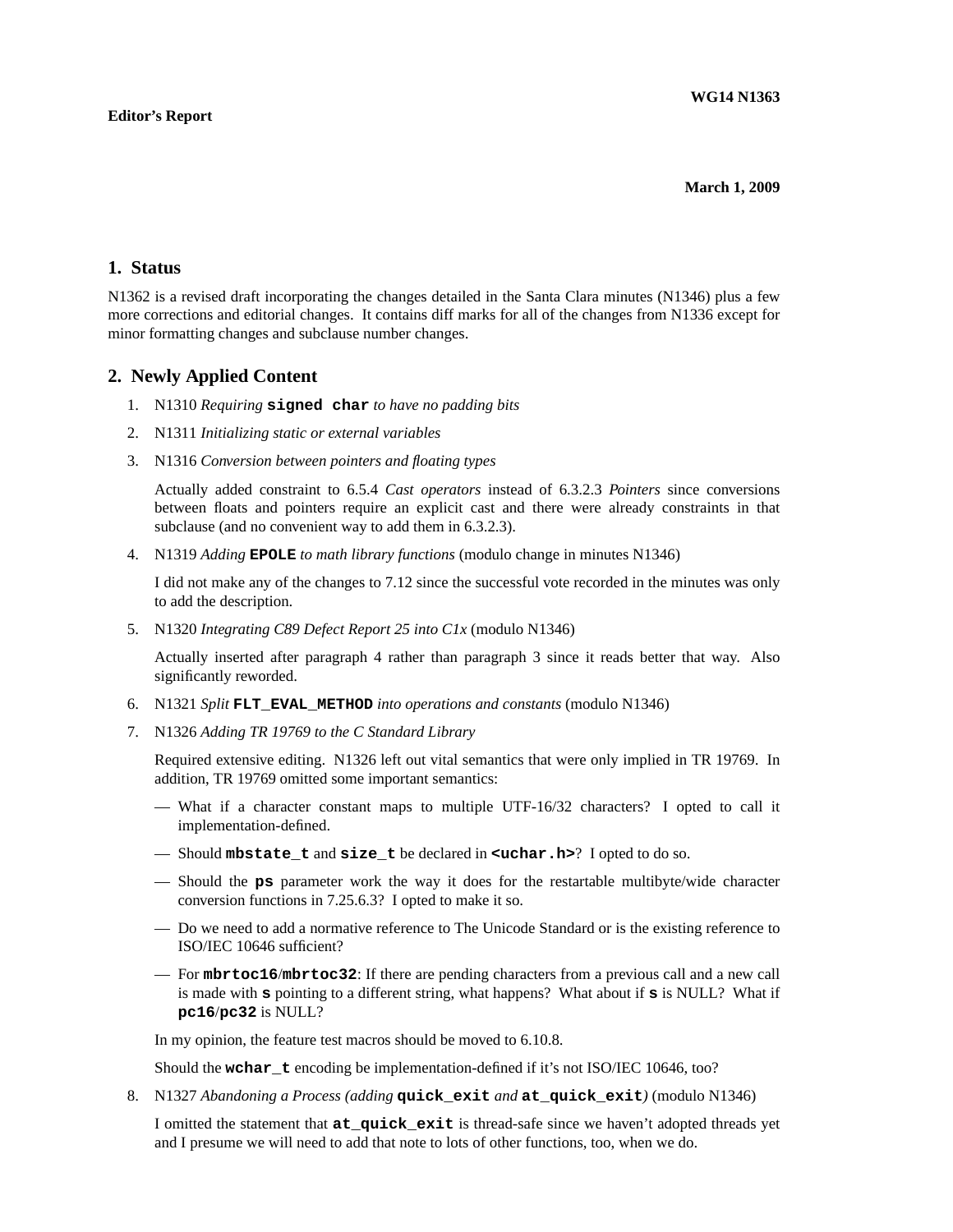### **1. Status**

N1362 is a revised draft incorporating the changes detailed in the Santa Clara minutes (N1346) plus a few more corrections and editorial changes. It contains diff marks for all of the changes from N1336 except for minor formatting changes and subclause number changes.

## **2. Newly Applied Content**

- 1. N1310 *Requiring* **signed char** *to have no padding bits*
- 2. N1311 *Initializing static or external variables*
- 3. N1316 *Conversion between pointers and floating types*

Actually added constraint to 6.5.4 *Cast operators* instead of 6.3.2.3 *Pointers* since conversions between floats and pointers require an explicit cast and there were already constraints in that subclause (and no convenient way to add them in 6.3.2.3).

4. N1319 *Adding* **EPOLE** *to math library functions* (modulo change in minutes N1346)

I did not make any of the changes to 7.12 since the successful vote recorded in the minutes was only to add the description.

5. N1320 *Integrating C89 Defect Report 25 into C1x* (modulo N1346)

Actually inserted after paragraph 4 rather than paragraph 3 since it reads better that way. Also significantly reworded.

- 6. N1321 *Split* **FLT\_EVAL\_METHOD** *into operations and constants* (modulo N1346)
- 7. N1326 *Adding TR 19769 to the C Standard Library*

Required extensive editing. N1326 left out vital semantics that were only implied in TR 19769. In addition, TR 19769 omitted some important semantics:

- What if a character constant maps to multiple UTF-16/32 characters? I opted to call it implementation-defined.
- Should **mbstate\_t** and **size\_t** be declared in **<uchar.h>**? I opted to do so.
- Should the **ps** parameter work the way it does for the restartable multibyte/wide character conversion functions in 7.25.6.3? I opted to make it so.
- Do we need to add a normative reference to The Unicode Standard or is the existing reference to ISO/IEC 10646 sufficient?
- For **mbrtoc16**/**mbrtoc32**: If there are pending characters from a previous call and a new call is made with **s** pointing to a different string, what happens? What about if **s** is NULL? What if **pc16**/**pc32** is NULL?

In my opinion, the feature test macros should be moved to 6.10.8.

Should the **wchar\_t** encoding be implementation-defined if it's not ISO/IEC 10646, too?

8. N1327 *Abandoning a Process (adding* **quick\_exit** *and* **at\_quick\_exit***)* (modulo N1346)

I omitted the statement that **at\_quick\_exit** is thread-safe since we haven't adopted threads yet and I presume we will need to add that note to lots of other functions, too, when we do.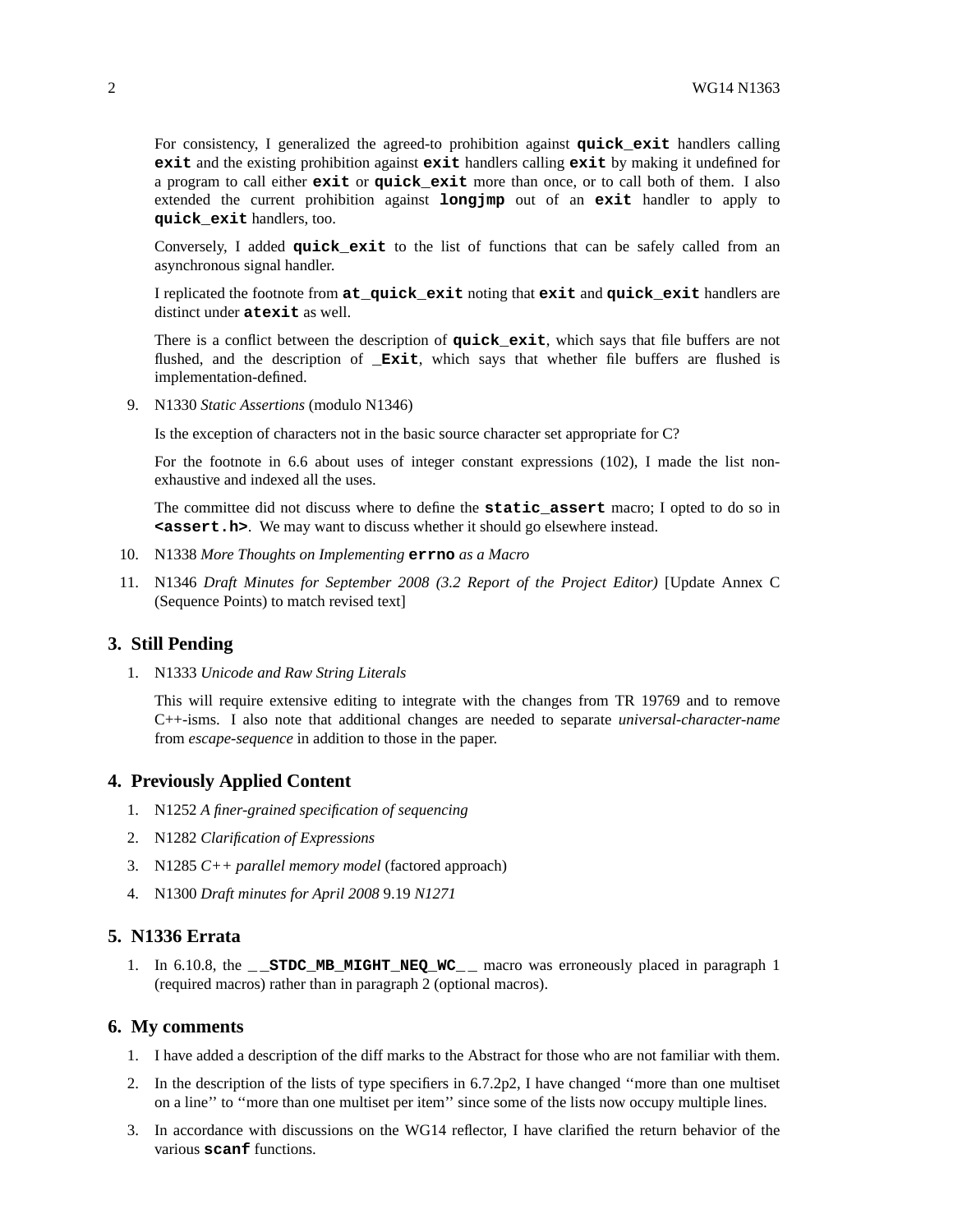For consistency, I generalized the agreed-to prohibition against **quick\_exit** handlers calling **exit** and the existing prohibition against **exit** handlers calling **exit** by making it undefined for a program to call either **exit** or **quick\_exit** more than once, or to call both of them. I also extended the current prohibition against **longjmp** out of an **exit** handler to apply to **quick\_exit** handlers, too.

Conversely,Iadded **quick\_exit** to the list of functions that can be safely called from an asynchronous signal handler.

I replicated the footnote from **at\_quick\_exit** noting that **exit** and **quick\_exit** handlers are distinct under **atexit** as well.

There is a conflict between the description of **quick\_exit**, which says that file buffers are not flushed, and the description of **\_Exit**, which says that whether file buffers are flushed is implementation-defined.

9. N1330 *Static Assertions* (modulo N1346)

Is the exception of characters not in the basic source character set appropriate for C?

For the footnote in 6.6 about uses of integer constant expressions (102), I made the list nonexhaustive and indexed all the uses.

The committee did not discuss where to define the **static\_assert** macro; I opted to do so in **<assert.h>**. We may want to discuss whether it should go elsewhere instead.

- 10. N1338 *More Thoughts on Implementing* **errno** *as a Macro*
- 11. N1346 *Draft Minutes for September 2008 (3.2 Report of the Project Editor)* [Update Annex C (Sequence Points) to match revised text]

#### **3. Still Pending**

1. N1333 *Unicode and Raw String Literals*

This will require extensive editing to integrate with the changes from TR 19769 and to remove C++-isms. I also note that additional changes are needed to separate *universal-character-name* from *escape-sequence* in addition to those in the paper.

### **4. Previously Applied Content**

- 1. N1252 *A finer-grained specification of sequencing*
- 2. N1282 *Clarification of Expressions*
- 3. N1285 *C++ parallel memory model* (factored approach)
- 4. N1300 *Draft minutes for April 2008* 9.19 *N1271*

# **5. N1336 Errata**

1. In 6.10.8, the \_\_STDC\_MB\_MIGHT\_NEQ\_WC\_\_ macro was erroneously placed in paragraph 1 (required macros) rather than in paragraph 2 (optional macros).

## **6. My comments**

- 1. I have added a description of the diff marks to the Abstract for those who are not familiar with them.
- 2. In the description of the lists of type specifiers in 6.7.2p2, I have changed ''more than one multiset on a line'' to ''more than one multiset per item'' since some of the lists now occupy multiple lines.
- 3. In accordance with discussions on the WG14 reflector, I have clarified the return behavior of the various **scanf** functions.